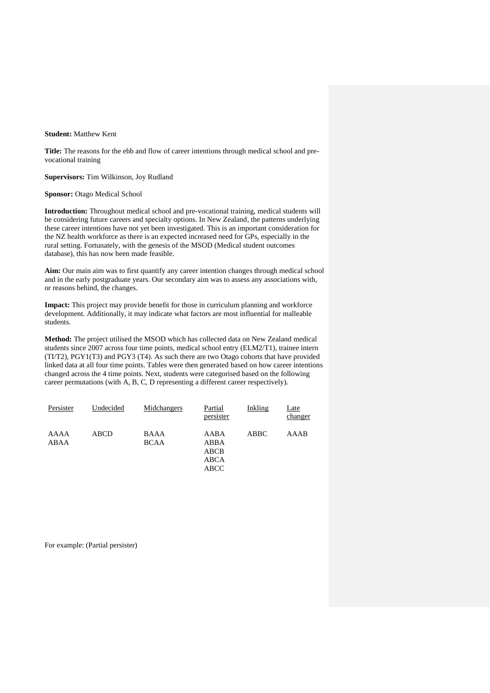## **Student:** Matthew Kent

**Title:** The reasons for the ebb and flow of career intentions through medical school and prevocational training

**Supervisors:** Tim Wilkinson, Joy Rudland

**Sponsor:** Otago Medical School

**Introduction:** Throughout medical school and pre-vocational training, medical students will be considering future careers and specialty options. In New Zealand, the patterns underlying these career intentions have not yet been investigated. This is an important consideration for the NZ health workforce as there is an expected increased need for GPs, especially in the rural setting. Fortunately, with the genesis of the MSOD (Medical student outcomes database), this has now been made feasible.

**Aim:** Our main aim was to first quantify any career intention changes through medical school and in the early postgraduate years. Our secondary aim was to assess any associations with, or reasons behind, the changes.

**Impact:** This project may provide benefit for those in curriculum planning and workforce development. Additionally, it may indicate what factors are most influential for malleable students.

**Method:** The project utilised the MSOD which has collected data on New Zealand medical students since 2007 across four time points, medical school entry (ELM2/T1), trainee intern (TI/T2), PGY1(T3) and PGY3 (T4). As such there are two Otago cohorts that have provided linked data at all four time points. Tables were then generated based on how career intentions changed across the 4 time points. Next, students were categorised based on the following career permutations (with A, B, C, D representing a different career respectively).

| Persister    | Undecided | Midchangers                | Partial<br>persister                 | Inkling     | Late<br>changer |
|--------------|-----------|----------------------------|--------------------------------------|-------------|-----------------|
| AAAA<br>ABAA | ABCD      | <b>BAAA</b><br><b>BCAA</b> | AABA<br>ABBA<br>ABCB<br>ABCA<br>ABCC | <b>ABBC</b> | AAAB            |

For example: (Partial persister)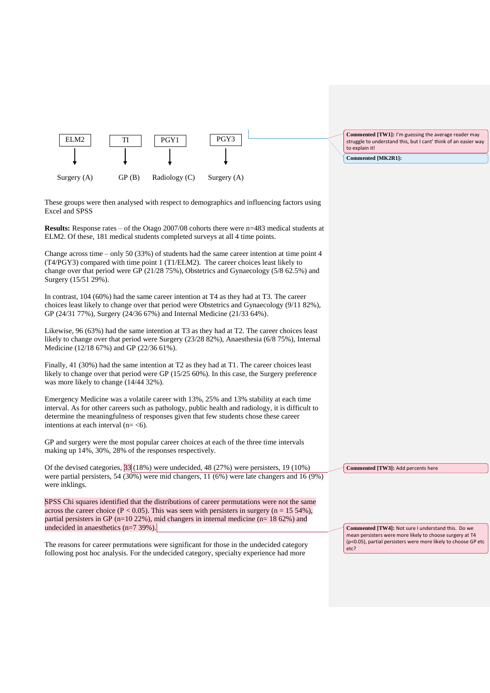

These groups were then analysed with respect to demographics and influencing factors using Excel and SPSS

**Results:** Response rates – of the Otago 2007/08 cohorts there were n=483 medical students at ELM2. Of these, 181 medical students completed surveys at all 4 time points.

Change across time – only 50 (33%) of students had the same career intention at time point  $4$ (T4/PGY3) compared with time point 1 (T1/ELM2). The career choices least likely to change over that period were GP (21/28 75%), Obstetrics and Gynaecology (5/8 62.5%) and Surgery (15/51 29%).

In contrast, 104 (60%) had the same career intention at T4 as they had at T3. The career choices least likely to change over that period were Obstetrics and Gynaecology (9/11 82%), GP (24/31 77%), Surgery (24/36 67%) and Internal Medicine (21/33 64%).

Likewise, 96 (63%) had the same intention at T3 as they had at T2. The career choices least likely to change over that period were Surgery (23/28 82%), Anaesthesia (6/8 75%), Internal Medicine (12/18 67%) and GP (22/36 61%).

Finally, 41 (30%) had the same intention at T2 as they had at T1. The career choices least likely to change over that period were GP (15/25 60%). In this case, the Surgery preference was more likely to change (14/44 32%).

Emergency Medicine was a volatile career with 13%, 25% and 13% stability at each time interval. As for other careers such as pathology, public health and radiology, it is difficult to determine the meaningfulness of responses given that few students chose these career intentions at each interval  $(n = < 6)$ .

GP and surgery were the most popular career choices at each of the three time intervals making up 14%, 30%, 28% of the responses respectively.

Of the devised categories, 33 (18%) were undecided, 48 (27%) were persisters, 19 (10%) were partial persisters, 54 (30%) were mid changers, 11 (6%) were late changers and 16 (9%) were inklings.

SPSS Chi squares identified that the distributions of career permutations were not the same across the career choice (P < 0.05). This was seen with persisters in surgery ( $n = 15,54\%$ ), partial persisters in GP (n=10 22%), mid changers in internal medicine (n= 18 62%) and undecided in anaesthetics (n=7 39%).

The reasons for career permutations were significant for those in the undecided category following post hoc analysis. For the undecided category, specialty experience had more

**Commented [TW4]:** Not sure I understand this. Do we mean persisters were more likely to choose surgery at T4

**Commented [TW3]:** Add percents here

(p<0.05), partial persisters were more likely to choose GP etc etc?